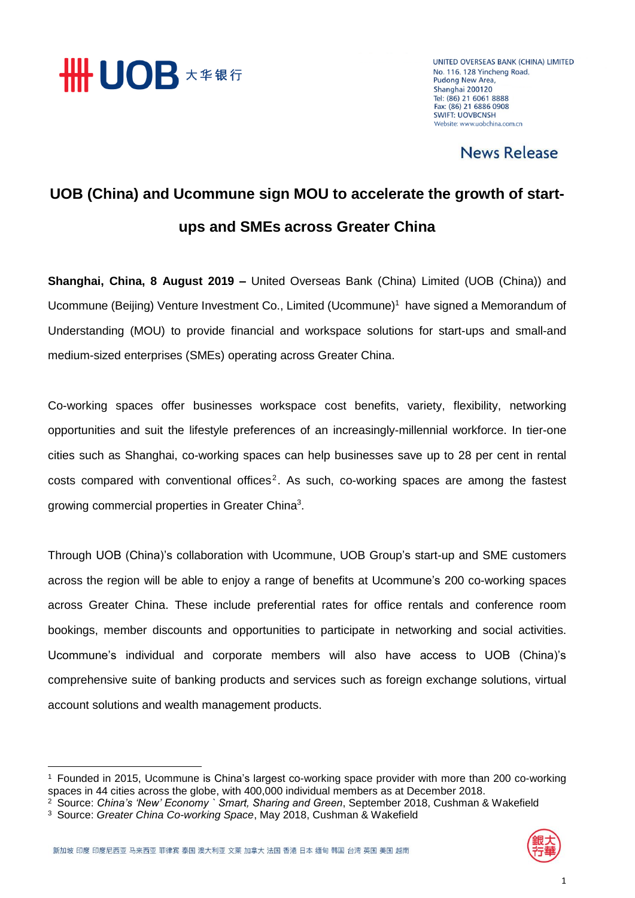

UNITED OVERSEAS BANK (CHINA) LIMITED No. 116, 128 Yincheng Road, **Pudong New Area,** Shanghai 200120 Tel: (86) 21 6061 8888 Fax: (86) 21 6886 0908 **SWIFT: LIOVRCNSH** Website: www.uobchina.com.cn

### News Release

## **UOB (China) and Ucommune sign MOU to accelerate the growth of startups and SMEs across Greater China**

**Shanghai, China, 8 August 2019 –** United Overseas Bank (China) Limited (UOB (China)) and Ucommune (Beijing) Venture Investment Co., Limited (Ucommune) <sup>1</sup> have signed a Memorandum of Understanding (MOU) to provide financial and workspace solutions for start-ups and small-and medium-sized enterprises (SMEs) operating across Greater China.

Co-working spaces offer businesses workspace cost benefits, variety, flexibility, networking opportunities and suit the lifestyle preferences of an increasingly-millennial workforce. In tier-one cities such as Shanghai, co-working spaces can help businesses save up to 28 per cent in rental  $costs$  compared with conventional offices<sup>2</sup>. As such, co-working spaces are among the fastest growing commercial properties in Greater China<sup>3</sup>.

Through UOB (China)'s collaboration with Ucommune, UOB Group's start-up and SME customers across the region will be able to enjoy a range of benefits at Ucommune's 200 co-working spaces across Greater China. These include preferential rates for office rentals and conference room bookings, member discounts and opportunities to participate in networking and social activities. Ucommune's individual and corporate members will also have access to UOB (China)'s comprehensive suite of banking products and services such as foreign exchange solutions, virtual account solutions and wealth management products.



**.** 

<sup>1</sup> Founded in 2015, Ucommune is China's largest co-working space provider with more than 200 co-working spaces in 44 cities across the globe, with 400,000 individual members as at December 2018.

<sup>2</sup> Source: *China's 'New' Economy ` Smart, Sharing and Green*, September 2018, Cushman & Wakefield

<sup>3</sup> Source: *Greater China Co-working Space*, May 2018, Cushman & Wakefield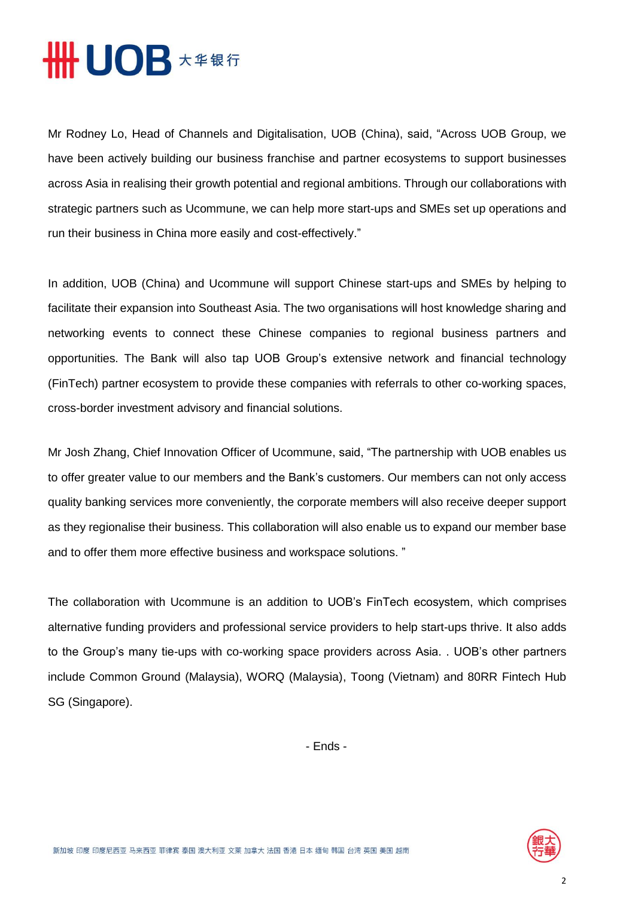# **HHUOB**  $\star\ast\ast\ast\mathrm{f}$

Mr Rodney Lo, Head of Channels and Digitalisation, UOB (China), said, "Across UOB Group, we have been actively building our business franchise and partner ecosystems to support businesses across Asia in realising their growth potential and regional ambitions. Through our collaborations with strategic partners such as Ucommune, we can help more start-ups and SMEs set up operations and run their business in China more easily and cost-effectively."

In addition, UOB (China) and Ucommune will support Chinese start-ups and SMEs by helping to facilitate their expansion into Southeast Asia. The two organisations will host knowledge sharing and networking events to connect these Chinese companies to regional business partners and opportunities. The Bank will also tap UOB Group's extensive network and financial technology (FinTech) partner ecosystem to provide these companies with referrals to other co-working spaces, cross-border investment advisory and financial solutions.

Mr Josh Zhang, Chief Innovation Officer of Ucommune, said, "The partnership with UOB enables us to offer greater value to our members and the Bank's customers. Our members can not only access quality banking services more conveniently, the corporate members will also receive deeper support as they regionalise their business. This collaboration will also enable us to expand our member base and to offer them more effective business and workspace solutions. "

The collaboration with Ucommune is an addition to UOB's FinTech ecosystem, which comprises alternative funding providers and professional service providers to help start-ups thrive. It also adds to the Group's many tie-ups with co-working space providers across Asia. . UOB's other partners include Common Ground (Malaysia), WORQ (Malaysia), Toong (Vietnam) and 80RR Fintech Hub SG (Singapore).

- Ends -